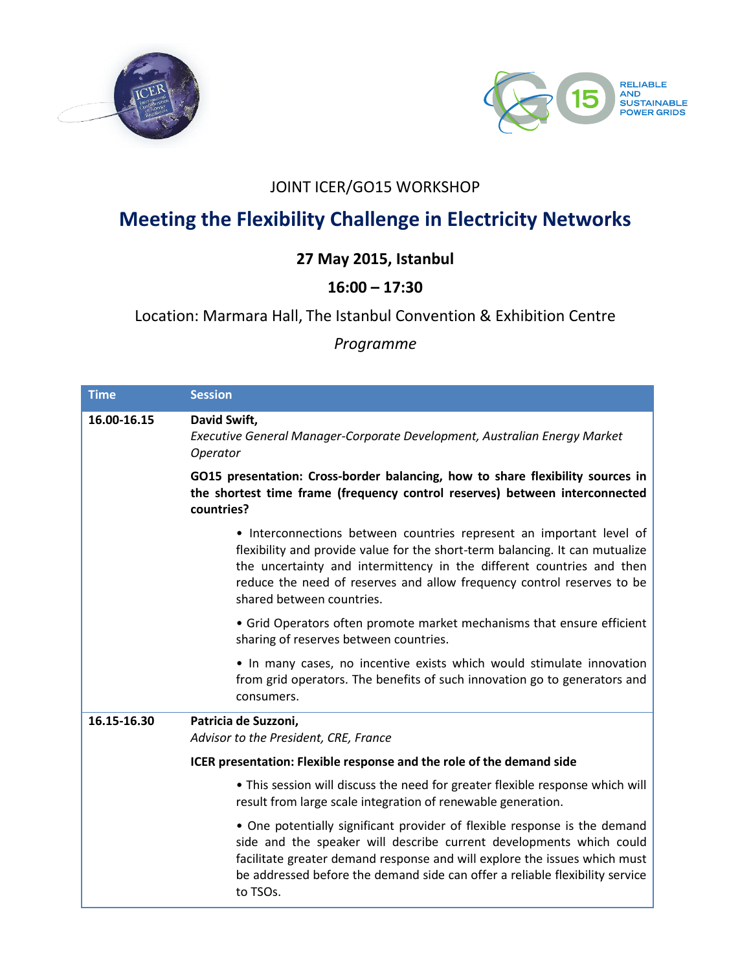



## JOINT ICER/GO15 WORKSHOP

# **Meeting the Flexibility Challenge in Electricity Networks**

# **27 May 2015, Istanbul**

## **16:00 – 17:30**

#### Location: Marmara Hall, The Istanbul Convention & Exhibition Centre

#### *Programme*

| <b>Time</b> | <b>Session</b>                                                                                                                                                                                                                                                                                                                       |
|-------------|--------------------------------------------------------------------------------------------------------------------------------------------------------------------------------------------------------------------------------------------------------------------------------------------------------------------------------------|
| 16.00-16.15 | David Swift,<br>Executive General Manager-Corporate Development, Australian Energy Market<br>Operator                                                                                                                                                                                                                                |
|             | GO15 presentation: Cross-border balancing, how to share flexibility sources in<br>the shortest time frame (frequency control reserves) between interconnected<br>countries?                                                                                                                                                          |
|             | • Interconnections between countries represent an important level of<br>flexibility and provide value for the short-term balancing. It can mutualize<br>the uncertainty and intermittency in the different countries and then<br>reduce the need of reserves and allow frequency control reserves to be<br>shared between countries. |
|             | • Grid Operators often promote market mechanisms that ensure efficient<br>sharing of reserves between countries.                                                                                                                                                                                                                     |
|             | • In many cases, no incentive exists which would stimulate innovation<br>from grid operators. The benefits of such innovation go to generators and<br>consumers.                                                                                                                                                                     |
| 16.15-16.30 | Patricia de Suzzoni,<br>Advisor to the President, CRE, France                                                                                                                                                                                                                                                                        |
|             | ICER presentation: Flexible response and the role of the demand side                                                                                                                                                                                                                                                                 |
|             | . This session will discuss the need for greater flexible response which will<br>result from large scale integration of renewable generation.                                                                                                                                                                                        |
|             | • One potentially significant provider of flexible response is the demand<br>side and the speaker will describe current developments which could<br>facilitate greater demand response and will explore the issues which must<br>be addressed before the demand side can offer a reliable flexibility service<br>to TSOs.            |